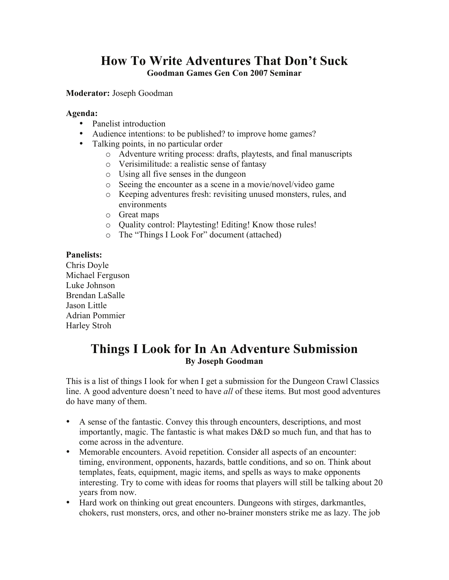# **How To Write Adventures That Don't Suck Goodman Games Gen Con 2007 Seminar**

## **Moderator:** Joseph Goodman

#### **Agenda:**

- Panelist introduction
- Audience intentions: to be published? to improve home games?
- Talking points, in no particular order
	- o Adventure writing process: drafts, playtests, and final manuscripts
	- o Verisimilitude: a realistic sense of fantasy
	- o Using all five senses in the dungeon
	- o Seeing the encounter as a scene in a movie/novel/video game
	- o Keeping adventures fresh: revisiting unused monsters, rules, and environments
	- o Great maps
	- o Quality control: Playtesting! Editing! Know those rules!
	- o The "Things I Look For" document (attached)

## **Panelists:**

Chris Doyle Michael Ferguson Luke Johnson Brendan LaSalle Jason Little Adrian Pommier Harley Stroh

# **Things I Look for In An Adventure Submission By Joseph Goodman**

This is a list of things I look for when I get a submission for the Dungeon Crawl Classics line. A good adventure doesn't need to have *all* of these items. But most good adventures do have many of them.

- A sense of the fantastic. Convey this through encounters, descriptions, and most importantly, magic. The fantastic is what makes D&D so much fun, and that has to come across in the adventure.
- Memorable encounters. Avoid repetition. Consider all aspects of an encounter: timing, environment, opponents, hazards, battle conditions, and so on. Think about templates, feats, equipment, magic items, and spells as ways to make opponents interesting. Try to come with ideas for rooms that players will still be talking about 20 years from now.
- Hard work on thinking out great encounters. Dungeons with stirges, darkmantles, chokers, rust monsters, orcs, and other no-brainer monsters strike me as lazy. The job